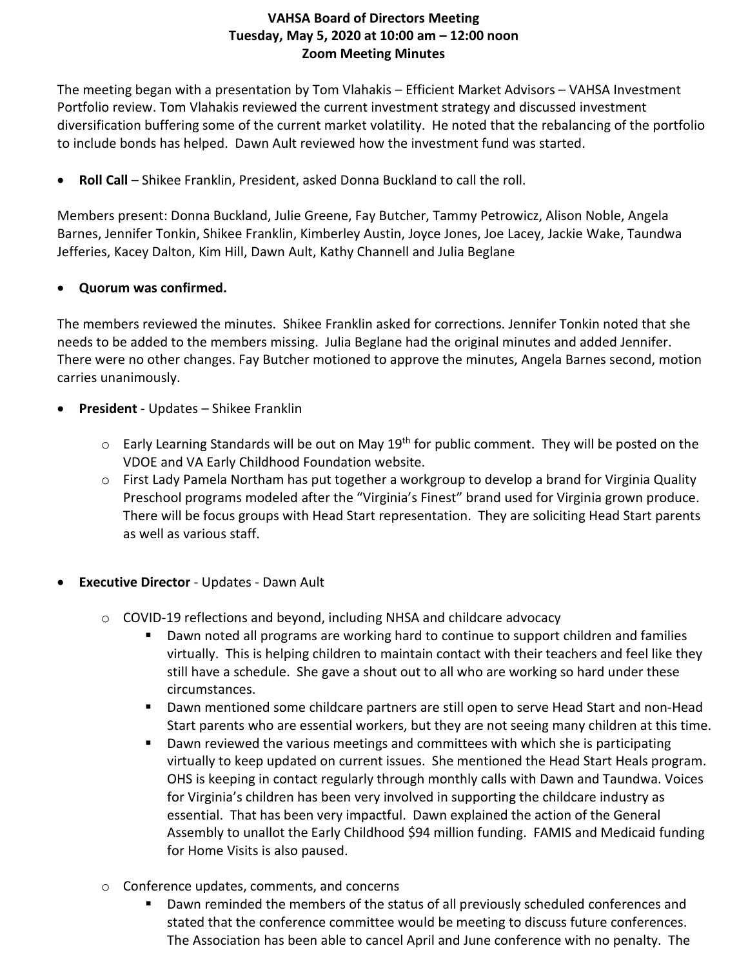## **VAHSA Board of Directors Meeting Tuesday, May 5, 2020 at 10:00 am – 12:00 noon Zoom Meeting Minutes**

The meeting began with a presentation by Tom Vlahakis – Efficient Market Advisors – VAHSA Investment Portfolio review. Tom Vlahakis reviewed the current investment strategy and discussed investment diversification buffering some of the current market volatility. He noted that the rebalancing of the portfolio to include bonds has helped. Dawn Ault reviewed how the investment fund was started.

• **Roll Call** – Shikee Franklin, President, asked Donna Buckland to call the roll.

Members present: Donna Buckland, Julie Greene, Fay Butcher, Tammy Petrowicz, Alison Noble, Angela Barnes, Jennifer Tonkin, Shikee Franklin, Kimberley Austin, Joyce Jones, Joe Lacey, Jackie Wake, Taundwa Jefferies, Kacey Dalton, Kim Hill, Dawn Ault, Kathy Channell and Julia Beglane

## • **Quorum was confirmed.**

The members reviewed the minutes. Shikee Franklin asked for corrections. Jennifer Tonkin noted that she needs to be added to the members missing. Julia Beglane had the original minutes and added Jennifer. There were no other changes. Fay Butcher motioned to approve the minutes, Angela Barnes second, motion carries unanimously.

- **President** Updates Shikee Franklin
	- $\circ$  Early Learning Standards will be out on May 19<sup>th</sup> for public comment. They will be posted on the VDOE and VA Early Childhood Foundation website.
	- $\circ$  First Lady Pamela Northam has put together a workgroup to develop a brand for Virginia Quality Preschool programs modeled after the "Virginia's Finest" brand used for Virginia grown produce. There will be focus groups with Head Start representation. They are soliciting Head Start parents as well as various staff.
- **Executive Director** Updates Dawn Ault
	- o COVID-19 reflections and beyond, including NHSA and childcare advocacy
		- Dawn noted all programs are working hard to continue to support children and families virtually. This is helping children to maintain contact with their teachers and feel like they still have a schedule. She gave a shout out to all who are working so hard under these circumstances.
		- **Dawn mentioned some childcare partners are still open to serve Head Start and non-Head** Start parents who are essential workers, but they are not seeing many children at this time.
		- **Dawn reviewed the various meetings and committees with which she is participating** virtually to keep updated on current issues. She mentioned the Head Start Heals program. OHS is keeping in contact regularly through monthly calls with Dawn and Taundwa. Voices for Virginia's children has been very involved in supporting the childcare industry as essential. That has been very impactful. Dawn explained the action of the General Assembly to unallot the Early Childhood \$94 million funding. FAMIS and Medicaid funding for Home Visits is also paused.
	- o Conference updates, comments, and concerns
		- Dawn reminded the members of the status of all previously scheduled conferences and stated that the conference committee would be meeting to discuss future conferences. The Association has been able to cancel April and June conference with no penalty. The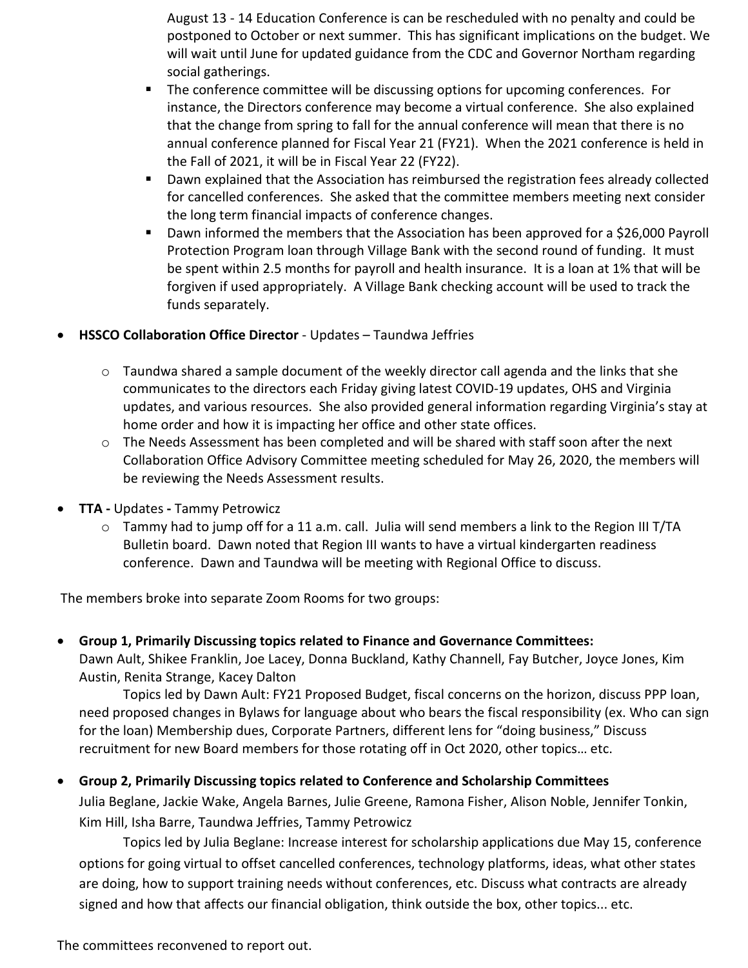August 13 - 14 Education Conference is can be rescheduled with no penalty and could be postponed to October or next summer. This has significant implications on the budget. We will wait until June for updated guidance from the CDC and Governor Northam regarding social gatherings.

- The conference committee will be discussing options for upcoming conferences. For instance, the Directors conference may become a virtual conference. She also explained that the change from spring to fall for the annual conference will mean that there is no annual conference planned for Fiscal Year 21 (FY21). When the 2021 conference is held in the Fall of 2021, it will be in Fiscal Year 22 (FY22).
- Dawn explained that the Association has reimbursed the registration fees already collected for cancelled conferences. She asked that the committee members meeting next consider the long term financial impacts of conference changes.
- Dawn informed the members that the Association has been approved for a \$26,000 Payroll Protection Program loan through Village Bank with the second round of funding. It must be spent within 2.5 months for payroll and health insurance. It is a loan at 1% that will be forgiven if used appropriately. A Village Bank checking account will be used to track the funds separately.
- **HSSCO Collaboration Office Director** Updates Taundwa Jeffries
	- $\circ$  Taundwa shared a sample document of the weekly director call agenda and the links that she communicates to the directors each Friday giving latest COVID-19 updates, OHS and Virginia updates, and various resources. She also provided general information regarding Virginia's stay at home order and how it is impacting her office and other state offices.
	- o The Needs Assessment has been completed and will be shared with staff soon after the next Collaboration Office Advisory Committee meeting scheduled for May 26, 2020, the members will be reviewing the Needs Assessment results.
- **TTA -** Updates **-** Tammy Petrowicz
	- $\circ$  Tammy had to jump off for a 11 a.m. call. Julia will send members a link to the Region III T/TA Bulletin board. Dawn noted that Region III wants to have a virtual kindergarten readiness conference. Dawn and Taundwa will be meeting with Regional Office to discuss.

The members broke into separate Zoom Rooms for two groups:

• **Group 1, Primarily Discussing topics related to Finance and Governance Committees:** Dawn Ault, Shikee Franklin, Joe Lacey, Donna Buckland, Kathy Channell, Fay Butcher, Joyce Jones, Kim Austin, Renita Strange, Kacey Dalton

Topics led by Dawn Ault: FY21 Proposed Budget, fiscal concerns on the horizon, discuss PPP loan, need proposed changes in Bylaws for language about who bears the fiscal responsibility (ex. Who can sign for the loan) Membership dues, Corporate Partners, different lens for "doing business," Discuss recruitment for new Board members for those rotating off in Oct 2020, other topics… etc.

• **Group 2, Primarily Discussing topics related to Conference and Scholarship Committees**

Julia Beglane, Jackie Wake, Angela Barnes, Julie Greene, Ramona Fisher, Alison Noble, Jennifer Tonkin, Kim Hill, Isha Barre, Taundwa Jeffries, Tammy Petrowicz

Topics led by Julia Beglane: Increase interest for scholarship applications due May 15, conference options for going virtual to offset cancelled conferences, technology platforms, ideas, what other states are doing, how to support training needs without conferences, etc. Discuss what contracts are already signed and how that affects our financial obligation, think outside the box, other topics... etc.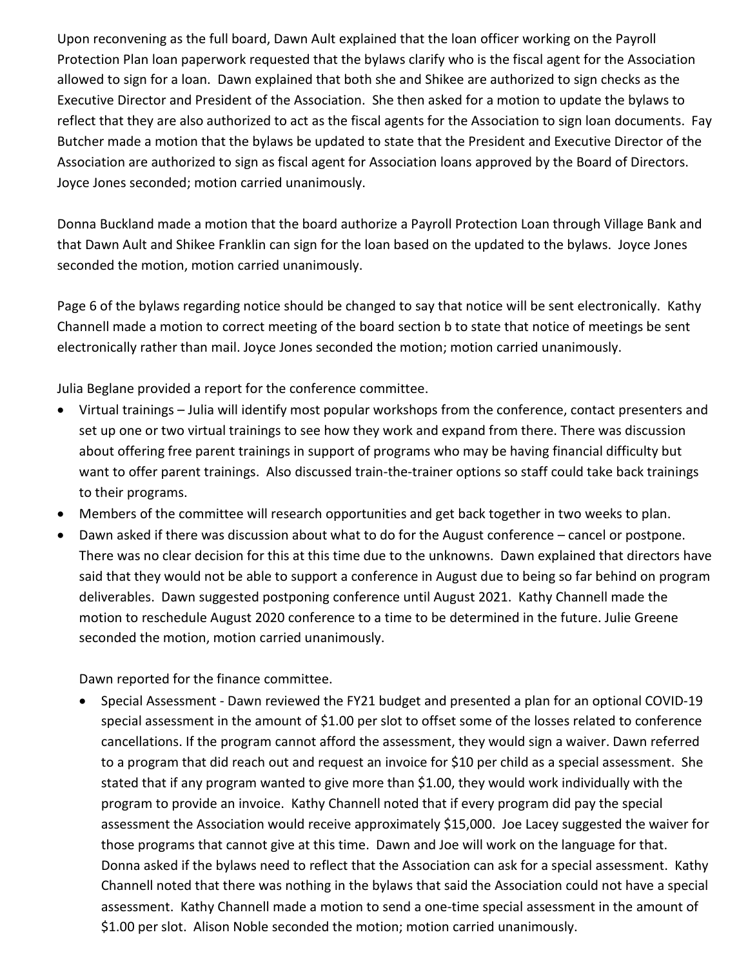Upon reconvening as the full board, Dawn Ault explained that the loan officer working on the Payroll Protection Plan loan paperwork requested that the bylaws clarify who is the fiscal agent for the Association allowed to sign for a loan. Dawn explained that both she and Shikee are authorized to sign checks as the Executive Director and President of the Association. She then asked for a motion to update the bylaws to reflect that they are also authorized to act as the fiscal agents for the Association to sign loan documents. Fay Butcher made a motion that the bylaws be updated to state that the President and Executive Director of the Association are authorized to sign as fiscal agent for Association loans approved by the Board of Directors. Joyce Jones seconded; motion carried unanimously.

Donna Buckland made a motion that the board authorize a Payroll Protection Loan through Village Bank and that Dawn Ault and Shikee Franklin can sign for the loan based on the updated to the bylaws. Joyce Jones seconded the motion, motion carried unanimously.

Page 6 of the bylaws regarding notice should be changed to say that notice will be sent electronically. Kathy Channell made a motion to correct meeting of the board section b to state that notice of meetings be sent electronically rather than mail. Joyce Jones seconded the motion; motion carried unanimously.

Julia Beglane provided a report for the conference committee.

- Virtual trainings Julia will identify most popular workshops from the conference, contact presenters and set up one or two virtual trainings to see how they work and expand from there. There was discussion about offering free parent trainings in support of programs who may be having financial difficulty but want to offer parent trainings. Also discussed train-the-trainer options so staff could take back trainings to their programs.
- Members of the committee will research opportunities and get back together in two weeks to plan.
- Dawn asked if there was discussion about what to do for the August conference cancel or postpone. There was no clear decision for this at this time due to the unknowns. Dawn explained that directors have said that they would not be able to support a conference in August due to being so far behind on program deliverables. Dawn suggested postponing conference until August 2021. Kathy Channell made the motion to reschedule August 2020 conference to a time to be determined in the future. Julie Greene seconded the motion, motion carried unanimously.

Dawn reported for the finance committee.

• Special Assessment - Dawn reviewed the FY21 budget and presented a plan for an optional COVID-19 special assessment in the amount of \$1.00 per slot to offset some of the losses related to conference cancellations. If the program cannot afford the assessment, they would sign a waiver. Dawn referred to a program that did reach out and request an invoice for \$10 per child as a special assessment. She stated that if any program wanted to give more than \$1.00, they would work individually with the program to provide an invoice. Kathy Channell noted that if every program did pay the special assessment the Association would receive approximately \$15,000. Joe Lacey suggested the waiver for those programs that cannot give at this time. Dawn and Joe will work on the language for that. Donna asked if the bylaws need to reflect that the Association can ask for a special assessment. Kathy Channell noted that there was nothing in the bylaws that said the Association could not have a special assessment. Kathy Channell made a motion to send a one-time special assessment in the amount of \$1.00 per slot. Alison Noble seconded the motion; motion carried unanimously.